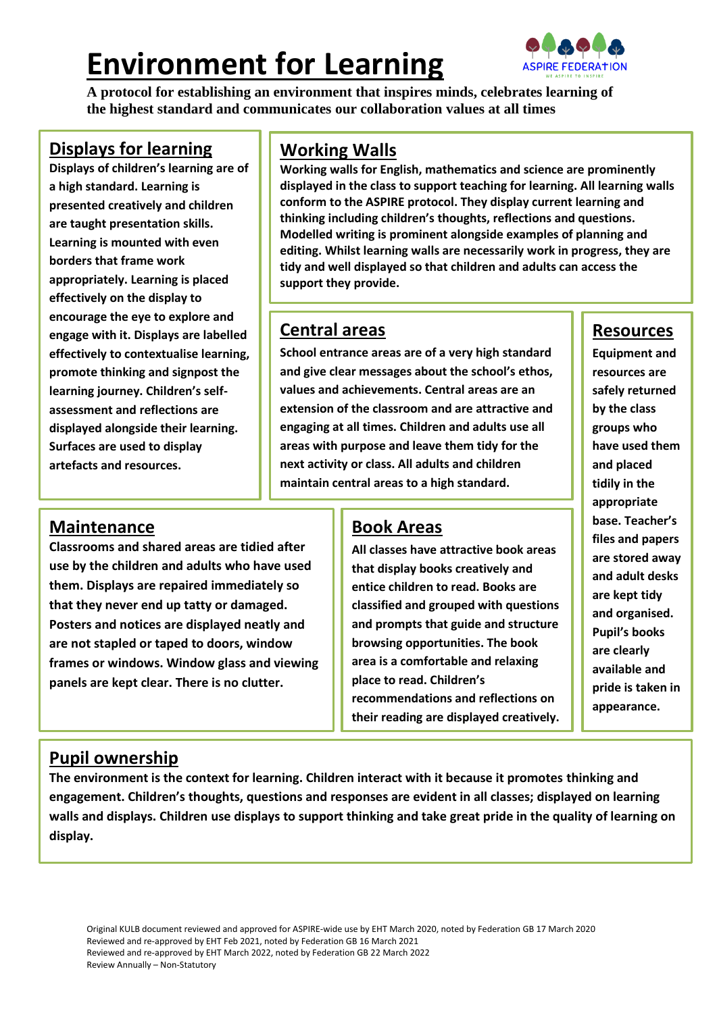# **Environment for Learning**



**A protocol for establishing an environment that inspires minds, celebrates learning of the highest standard and communicates our collaboration values at all times**

### **Displays for learning**

**Displays of children's learning are of a high standard. Learning is presented creatively and children are taught presentation skills. Learning is mounted with even borders that frame work appropriately. Learning is placed effectively on the display to encourage the eye to explore and engage with it. Displays are labelled effectively to contextualise learning, promote thinking and signpost the learning journey. Children's selfassessment and reflections are displayed alongside their learning. Surfaces are used to display artefacts and resources.**

## **Working Walls**

**Working walls for English, mathematics and science are prominently displayed in the class to support teaching for learning. All learning walls conform to the ASPIRE protocol. They display current learning and thinking including children's thoughts, reflections and questions. Modelled writing is prominent alongside examples of planning and editing. Whilst learning walls are necessarily work in progress, they are tidy and well displayed so that children and adults can access the support they provide.**

## **Central areas**

**School entrance areas are of a very high standard and give clear messages about the school's ethos, values and achievements. Central areas are an extension of the classroom and are attractive and engaging at all times. Children and adults use all areas with purpose and leave them tidy for the next activity or class. All adults and children maintain central areas to a high standard.**

## **Maintenance**

**Classrooms and shared areas are tidied after use by the children and adults who have used them. Displays are repaired immediately so that they never end up tatty or damaged. Posters and notices are displayed neatly and are not stapled or taped to doors, window frames or windows. Window glass and viewing panels are kept clear. There is no clutter.**

## **Book Areas**

**All classes have attractive book areas that display books creatively and entice children to read. Books are classified and grouped with questions and prompts that guide and structure browsing opportunities. The book area is a comfortable and relaxing place to read. Children's recommendations and reflections on their reading are displayed creatively.**

# **Resources**

**Equipment and resources are safely returned by the class groups who have used them and placed tidily in the appropriate base. Teacher's files and papers are stored away and adult desks are kept tidy and organised. Pupil's books are clearly available and pride is taken in appearance.**

### **Pupil ownership**

**The environment is the context for learning. Children interact with it because it promotes thinking and engagement. Children's thoughts, questions and responses are evident in all classes; displayed on learning walls and displays. Children use displays to support thinking and take great pride in the quality of learning on display.**